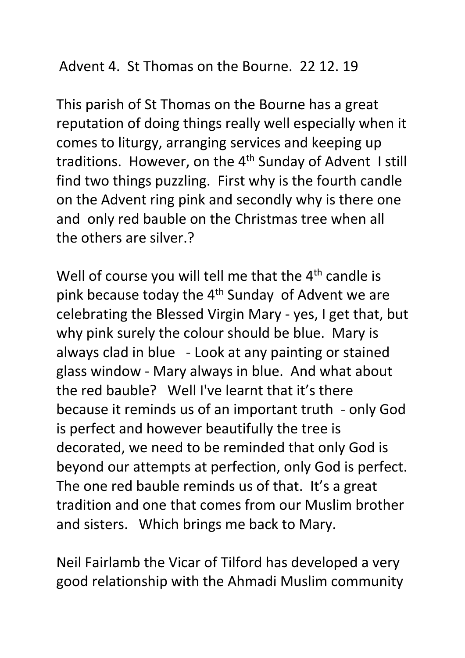## Advent 4. St Thomas on the Bourne. 22 12. 19

This parish of St Thomas on the Bourne has a great reputation of doing things really well especially when it comes to liturgy, arranging services and keeping up traditions. However, on the 4<sup>th</sup> Sunday of Advent I still find two things puzzling. First why is the fourth candle on the Advent ring pink and secondly why is there one and only red bauble on the Christmas tree when all the others are silver.?

Well of course you will tell me that the  $4<sup>th</sup>$  candle is pink because today the  $4<sup>th</sup>$  Sunday of Advent we are celebrating the Blessed Virgin Mary - yes, I get that, but why pink surely the colour should be blue. Mary is always clad in blue - Look at any painting or stained glass window - Mary always in blue. And what about the red bauble? Well I've learnt that it's there because it reminds us of an important truth - only God is perfect and however beautifully the tree is decorated, we need to be reminded that only God is beyond our attempts at perfection, only God is perfect. The one red bauble reminds us of that. It's a great tradition and one that comes from our Muslim brother and sisters. Which brings me back to Mary.

Neil Fairlamb the Vicar of Tilford has developed a very good relationship with the Ahmadi Muslim community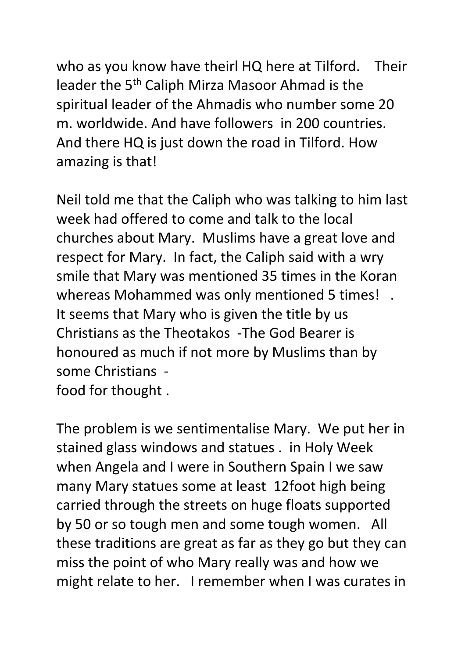who as you know have theirl HQ here at Tilford. Their leader the 5th Caliph Mirza Masoor Ahmad is the spiritual leader of the Ahmadis who number some 20 m. worldwide. And have followers in 200 countries. And there HQ is just down the road in Tilford. How amazing is that!

Neil told me that the Caliph who was talking to him last week had offered to come and talk to the local churches about Mary. Muslims have a great love and respect for Mary. In fact, the Caliph said with a wry smile that Mary was mentioned 35 times in the Koran whereas Mohammed was only mentioned 5 times! . It seems that Mary who is given the title by us Christians as the Theotakos -The God Bearer is honoured as much if not more by Muslims than by some Christians food for thought .

The problem is we sentimentalise Mary. We put her in stained glass windows and statues . in Holy Week when Angela and I were in Southern Spain I we saw many Mary statues some at least 12foot high being carried through the streets on huge floats supported by 50 or so tough men and some tough women. All these traditions are great as far as they go but they can miss the point of who Mary really was and how we might relate to her. I remember when I was curates in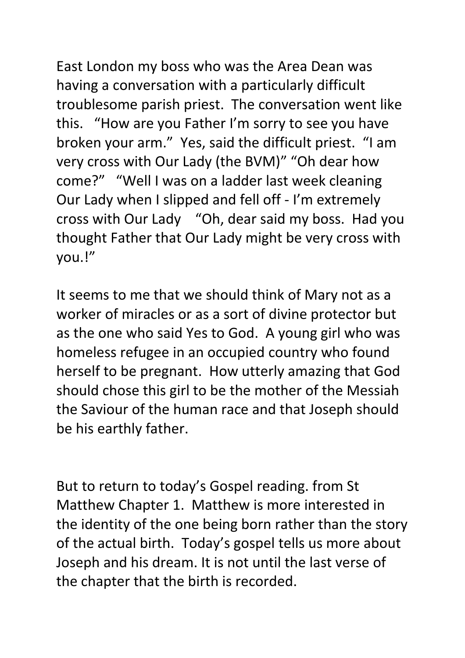East London my boss who was the Area Dean was having a conversation with a particularly difficult troublesome parish priest. The conversation went like this. "How are you Father I'm sorry to see you have broken your arm." Yes, said the difficult priest. "I am very cross with Our Lady (the BVM)" "Oh dear how come?" "Well I was on a ladder last week cleaning Our Lady when I slipped and fell off - I'm extremely cross with Our Lady "Oh, dear said my boss. Had you thought Father that Our Lady might be very cross with you.!"

It seems to me that we should think of Mary not as a worker of miracles or as a sort of divine protector but as the one who said Yes to God. A young girl who was homeless refugee in an occupied country who found herself to be pregnant. How utterly amazing that God should chose this girl to be the mother of the Messiah the Saviour of the human race and that Joseph should be his earthly father.

But to return to today's Gospel reading. from St Matthew Chapter 1. Matthew is more interested in the identity of the one being born rather than the story of the actual birth. Today's gospel tells us more about Joseph and his dream. It is not until the last verse of the chapter that the birth is recorded.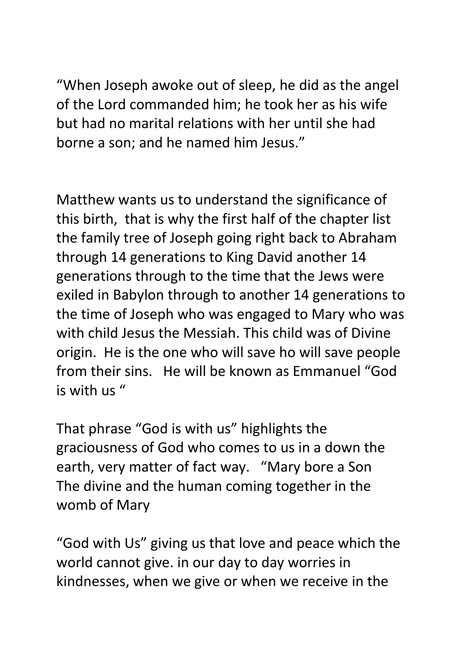"When Joseph awoke out of sleep, he did as the angel of the Lord commanded him; he took her as his wife but had no marital relations with her until she had borne a son; and he named him Jesus."

Matthew wants us to understand the significance of this birth, that is why the first half of the chapter list the family tree of Joseph going right back to Abraham through 14 generations to King David another 14 generations through to the time that the Jews were exiled in Babylon through to another 14 generations to the time of Joseph who was engaged to Mary who was with child Jesus the Messiah. This child was of Divine origin. He is the one who will save ho will save people from their sins. He will be known as Emmanuel "God is with us "

That phrase "God is with us" highlights the graciousness of God who comes to us in a down the earth, very matter of fact way. "Mary bore a Son The divine and the human coming together in the womb of Mary

"God with Us" giving us that love and peace which the world cannot give. in our day to day worries in kindnesses, when we give or when we receive in the